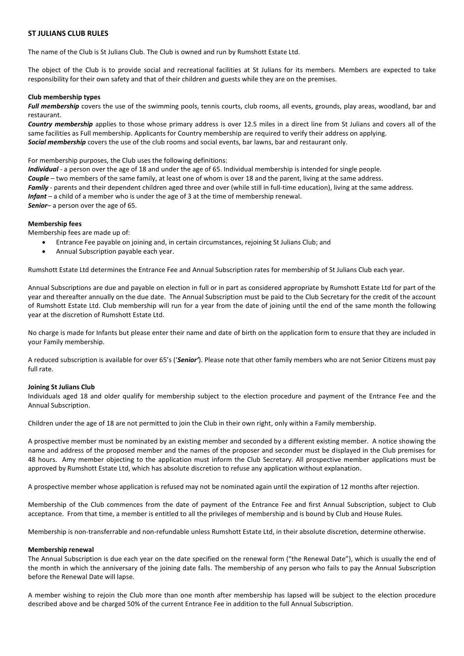# **ST JULIANS CLUB RULES**

The name of the Club is St Julians Club. The Club is owned and run by Rumshott Estate Ltd.

The object of the Club is to provide social and recreational facilities at St Julians for its members. Members are expected to take responsibility for their own safety and that of their children and guests while they are on the premises.

### **Club membership types**

Full membership covers the use of the swimming pools, tennis courts, club rooms, all events, grounds, play areas, woodland, bar and restaurant.

*Country membership* applies to those whose primary address is over 12.5 miles in a direct line from St Julians and covers all of the same facilities as Full membership. Applicants for Country membership are required to verify their address on applying. *Social membership* covers the use of the club rooms and social events, bar lawns, bar and restaurant only.

For membership purposes, the Club uses the following definitions:

*Individual* - a person over the age of 18 and under the age of 65. Individual membership is intended for single people. *Couple* – two members of the same family, at least one of whom is over 18 and the parent, living at the same address. *Family* - parents and their dependent children aged three and over (while still in full-time education), living at the same address. *Infant* – a child of a member who is under the age of 3 at the time of membership renewal. *Senior*– a person over the age of 65.

## **Membership fees**

Membership fees are made up of:

- Entrance Fee payable on joining and, in certain circumstances, rejoining St Julians Club; and
- Annual Subscription payable each year.

Rumshott Estate Ltd determines the Entrance Fee and Annual Subscription rates for membership of St Julians Club each year.

Annual Subscriptions are due and payable on election in full or in part as considered appropriate by Rumshott Estate Ltd for part of the year and thereafter annually on the due date. The Annual Subscription must be paid to the Club Secretary for the credit of the account of Rumshott Estate Ltd. Club membership will run for a year from the date of joining until the end of the same month the following year at the discretion of Rumshott Estate Ltd.

No charge is made for Infants but please enter their name and date of birth on the application form to ensure that they are included in your Family membership.

A reduced subscription is available for over 65's ('*Senior'*). Please note that other family members who are not Senior Citizens must pay full rate.

### **Joining St Julians Club**

Individuals aged 18 and older qualify for membership subject to the election procedure and payment of the Entrance Fee and the Annual Subscription.

Children under the age of 18 are not permitted to join the Club in their own right, only within a Family membership.

A prospective member must be nominated by an existing member and seconded by a different existing member. A notice showing the name and address of the proposed member and the names of the proposer and seconder must be displayed in the Club premises for 48 hours. Amy member objecting to the application must inform the Club Secretary. All prospective member applications must be approved by Rumshott Estate Ltd, which has absolute discretion to refuse any application without explanation.

A prospective member whose application is refused may not be nominated again until the expiration of 12 months after rejection.

Membership of the Club commences from the date of payment of the Entrance Fee and first Annual Subscription, subject to Club acceptance. From that time, a member is entitled to all the privileges of membership and is bound by Club and House Rules.

Membership is non-transferrable and non-refundable unless Rumshott Estate Ltd, in their absolute discretion, determine otherwise.

#### **Membership renewal**

The Annual Subscription is due each year on the date specified on the renewal form ("the Renewal Date"), which is usually the end of the month in which the anniversary of the joining date falls. The membership of any person who fails to pay the Annual Subscription before the Renewal Date will lapse.

A member wishing to rejoin the Club more than one month after membership has lapsed will be subject to the election procedure described above and be charged 50% of the current Entrance Fee in addition to the full Annual Subscription.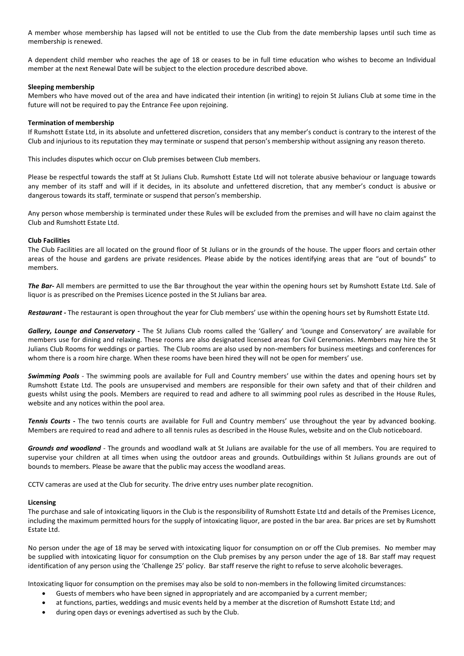A member whose membership has lapsed will not be entitled to use the Club from the date membership lapses until such time as membership is renewed.

A dependent child member who reaches the age of 18 or ceases to be in full time education who wishes to become an Individual member at the next Renewal Date will be subject to the election procedure described above.

## **Sleeping membership**

Members who have moved out of the area and have indicated their intention (in writing) to rejoin St Julians Club at some time in the future will not be required to pay the Entrance Fee upon rejoining.

## **Termination of membership**

If Rumshott Estate Ltd, in its absolute and unfettered discretion, considers that any member's conduct is contrary to the interest of the Club and injurious to its reputation they may terminate or suspend that person's membership without assigning any reason thereto.

This includes disputes which occur on Club premises between Club members.

Please be respectful towards the staff at St Julians Club. Rumshott Estate Ltd will not tolerate abusive behaviour or language towards any member of its staff and will if it decides, in its absolute and unfettered discretion, that any member's conduct is abusive or dangerous towards its staff, terminate or suspend that person's membership.

Any person whose membership is terminated under these Rules will be excluded from the premises and will have no claim against the Club and Rumshott Estate Ltd.

## **Club Facilities**

The Club Facilities are all located on the ground floor of St Julians or in the grounds of the house. The upper floors and certain other areas of the house and gardens are private residences. Please abide by the notices identifying areas that are "out of bounds" to members.

*The Bar-* All members are permitted to use the Bar throughout the year within the opening hours set by Rumshott Estate Ltd. Sale of liquor is as prescribed on the Premises Licence posted in the St Julians bar area.

*Restaurant -* The restaurant is open throughout the year for Club members' use within the opening hours set by Rumshott Estate Ltd.

*Gallery, Lounge and Conservatory* **-** The St Julians Club rooms called the 'Gallery' and 'Lounge and Conservatory' are available for members use for dining and relaxing. These rooms are also designated licensed areas for Civil Ceremonies. Members may hire the St Julians Club Rooms for weddings or parties. The Club rooms are also used by non-members for business meetings and conferences for whom there is a room hire charge. When these rooms have been hired they will not be open for members' use.

*Swimming Pools -* The swimming pools are available for Full and Country members' use within the dates and opening hours set by Rumshott Estate Ltd. The pools are unsupervised and members are responsible for their own safety and that of their children and guests whilst using the pools. Members are required to read and adhere to all swimming pool rules as described in the House Rules, website and any notices within the pool area.

*Tennis Courts* **-** The two tennis courts are available for Full and Country members' use throughout the year by advanced booking. Members are required to read and adhere to all tennis rules as described in the House Rules, website and on the Club noticeboard.

*Grounds and woodland -* The grounds and woodland walk at St Julians are available for the use of all members. You are required to supervise your children at all times when using the outdoor areas and grounds. Outbuildings within St Julians grounds are out of bounds to members. Please be aware that the public may access the woodland areas.

CCTV cameras are used at the Club for security. The drive entry uses number plate recognition.

# **Licensing**

The purchase and sale of intoxicating liquors in the Club is the responsibility of Rumshott Estate Ltd and details of the Premises Licence, including the maximum permitted hours for the supply of intoxicating liquor, are posted in the bar area. Bar prices are set by Rumshott Estate Ltd.

No person under the age of 18 may be served with intoxicating liquor for consumption on or off the Club premises. No member may be supplied with intoxicating liquor for consumption on the Club premises by any person under the age of 18. Bar staff may request identification of any person using the 'Challenge 25' policy. Bar staff reserve the right to refuse to serve alcoholic beverages.

Intoxicating liquor for consumption on the premises may also be sold to non-members in the following limited circumstances:

- Guests of members who have been signed in appropriately and are accompanied by a current member;
- at functions, parties, weddings and music events held by a member at the discretion of Rumshott Estate Ltd; and
- during open days or evenings advertised as such by the Club.